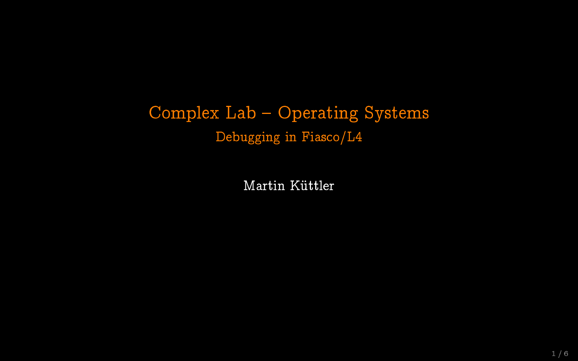# Complex Lab - Operating Systems Debugging in Fiasco/L4

Martin Küttler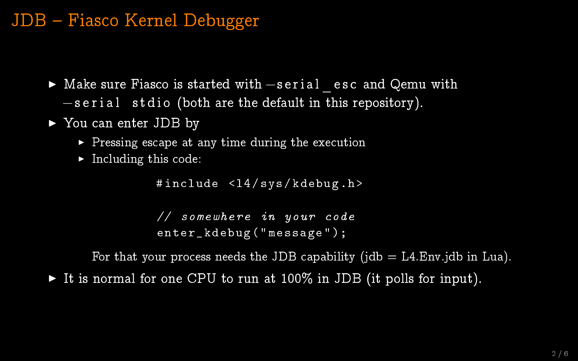### JDB Fiasco Kernel Debugger

- ► Make sure Fiasco is started with –serial esc and Qemu with  $-$ s e r i a l st d i o (both are the default in this repository).
- $\blacktriangleright$  You can enter JDB by
	- $\triangleright$  Pressing escape at any time during the execution
	- $\blacktriangleright$  Including this code:

```
#include <14/sys/kdebug.h>
```

```
// somewhere in your code
enter kdebug (" message" );
```
For that your process needs the JDB capability (jdb  $=$  L4.Env.jdb in Lua).

It is normal for one CPU to run at  $100\%$  in JDB (it polls for input).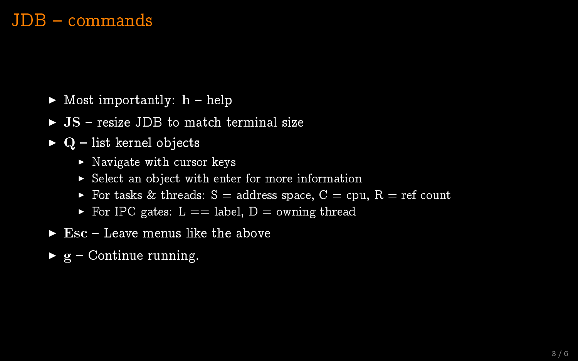#### JDB - commands

- $\blacktriangleright$  Most importantly:  $h$  help
- $\triangleright$  JS resize JDB to match terminal size
- $\triangleright$  Q list kernel objects
	- $\triangleright$  Navigate with cursor keys
	- $\triangleright$  Select an object with enter for more information
	- $\triangleright$  For tasks & threads: S = address space, C = cpu, R = ref count
	- For IPC gates:  $L ==$  label,  $D =$  owning thread
- $\blacktriangleright$  Esc Leave menus like the above
- $\triangleright$  g Continue running.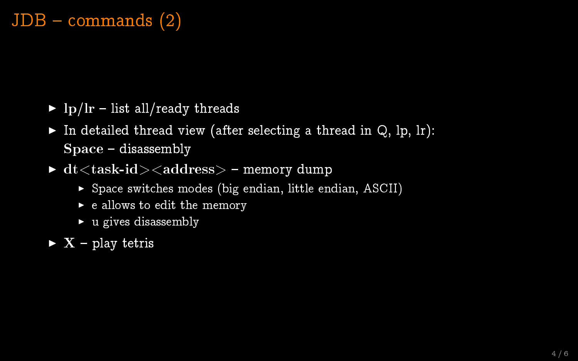### $JDB$  – commands  $(2)$

- $\triangleright$  lp/lr list all/ready threads
- In detailed thread view (after selecting a thread in  $Q$ , lp, lr):  $Space - disassembly$
- $\blacktriangleright$  dt  $lt$  task-id  $gt$   $lt$  address  $gt$  memory dump
	- $\triangleright$  Space switches modes (big endian, little endian, ASCII)
	- $\blacktriangleright$  e allows to edit the memory
	- $\blacktriangleright$  u gives disassembly
- $\triangleright$  X play tetris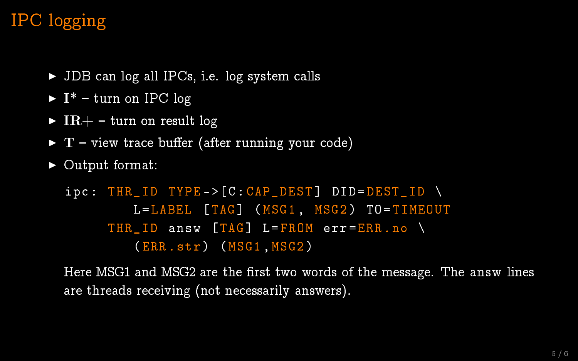# IPC logging

- $\triangleright$  JDB can log all IPCs, i.e. log system calls
- $\blacktriangleright$  I<sup>\*</sup> turn on IPC log
- $\triangleright$  IR+ turn on result log
- $\triangleright$  T view trace buffer (after running your code)
- $\triangleright$  Output format:

```
inc: THR ID TYPE ->[C: CAP DEST] DID=DEST ID \
         L= LABEL [TAG] (MSG1, MSG2) TO= TIMEOUT
     THR ID answ TAG] L = FROM err = ERR . no \
         (ERR . str ) ( MSG1 ,MSG2 )
```
Here MSG1 and MSG2 are the first two words of the message. The answ lines are threads receiving (not necessarily answers).